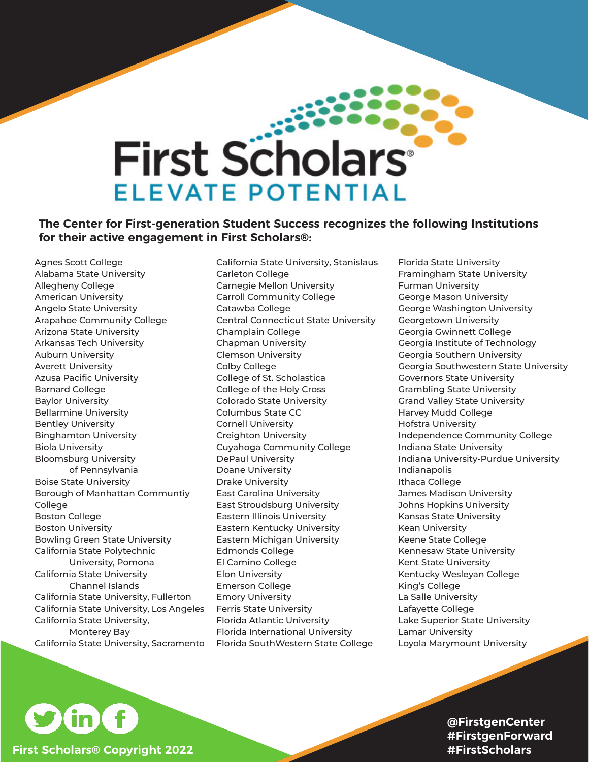## **First Scholars** ELEVATE POTENTIAL

## **The Center for First-generation Student Success recognizes the following Institutions for their active engagement in First Scholars®:**

Agnes Scott College Alabama State University Allegheny College American University Angelo State University Arapahoe Community College Arizona State University Arkansas Tech University Auburn University Averett University Azusa Pacific University Barnard College Baylor University Bellarmine University Bentley University Binghamton University Biola University Bloomsburg University of Pennsylvania Boise State University Borough of Manhattan Communtiy **College** Boston College Boston University Bowling Green State University California State Polytechnic University, Pomona California State University Channel Islands California State University, Fullerton California State University, Los Angeles California State University, Monterey Bay California State University, Sacramento California State University, Stanislaus Carleton College Carnegie Mellon University Carroll Community College Catawba College Central Connecticut State University Champlain College Chapman University Clemson University Colby College College of St. Scholastica College of the Holy Cross Colorado State University Columbus State CC Cornell University Creighton University Cuyahoga Community College DePaul University Doane University Drake University East Carolina University East Stroudsburg University Eastern Illinois University Eastern Kentucky University Eastern Michigan University Edmonds College El Camino College Elon University Emerson College Emory University Ferris State University Florida Atlantic University Florida International University Florida SouthWestern State College

Florida State University Framingham State University Furman University George Mason University George Washington University Georgetown University Georgia Gwinnett College Georgia Institute of Technology Georgia Southern University Georgia Southwestern State University Governors State University Grambling State University Grand Valley State University Harvey Mudd College Hofstra University Independence Community College Indiana State University Indiana University-Purdue University Indianapolis Ithaca College James Madison University Johns Hopkins University Kansas State University Kean University Keene State College Kennesaw State University Kent State University Kentucky Wesleyan College King's College La Salle University Lafayette College Lake Superior State University Lamar University Loyola Marymount University



**@FirstgenCenter #FirstgenForward #FirstScholars**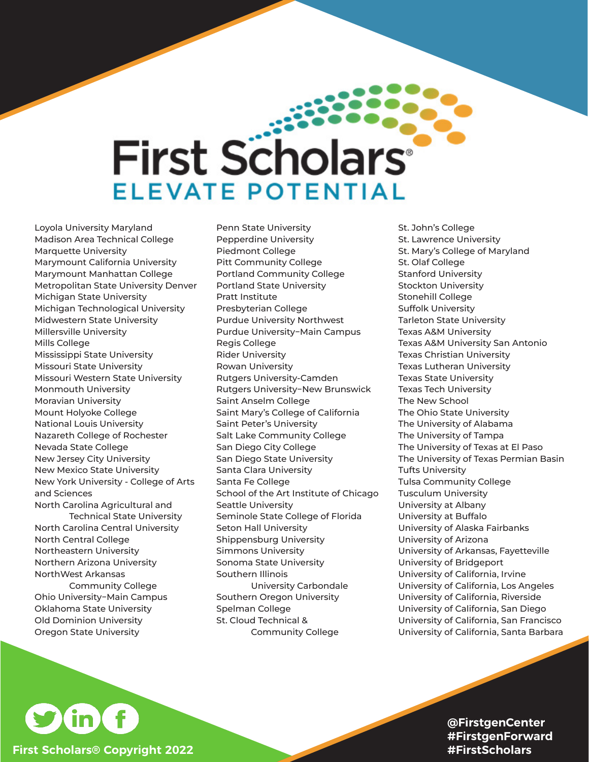## **First Scholars®** ELEVATE POTENTIAL

Loyola University Maryland Madison Area Technical College Marquette University Marymount California University Marymount Manhattan College Metropolitan State University Denver Michigan State University Michigan Technological University Midwestern State University Millersville University Mills College Mississippi State University Missouri State University Missouri Western State University Monmouth University Moravian University Mount Holyoke College National Louis University Nazareth College of Rochester Nevada State College New Jersey City University New Mexico State University New York University - College of Arts and Sciences North Carolina Agricultural and

Technical State University North Carolina Central University North Central College Northeastern University Northern Arizona University NorthWest Arkansas Community College Ohio University−Main Campus Oklahoma State University Old Dominion University Oregon State University

Penn State University Pepperdine University Piedmont College Pitt Community College Portland Community College Portland State University Pratt Institute Presbyterian College Purdue University Northwest Purdue University−Main Campus Regis College Rider University Rowan University Rutgers University-Camden Rutgers University−New Brunswick Saint Anselm College Saint Mary's College of California Saint Peter's University Salt Lake Community College San Diego City College San Diego State University Santa Clara University Santa Fe College School of the Art Institute of Chicago Seattle University Seminole State College of Florida Seton Hall University Shippensburg University Simmons University Sonoma State University Southern Illinois University Carbondale Southern Oregon University Spelman College St. Cloud Technical & Community College

St. John's College St. Lawrence University St. Mary's College of Maryland St. Olaf College Stanford University Stockton University Stonehill College Suffolk University Tarleton State University Texas A&M University Texas A&M University San Antonio Texas Christian University Texas Lutheran University Texas State University Texas Tech University The New School The Ohio State University The University of Alabama The University of Tampa The University of Texas at El Paso The University of Texas Permian Basin Tufts University Tulsa Community College Tusculum University University at Albany University at Buffalo University of Alaska Fairbanks University of Arizona University of Arkansas, Fayetteville University of Bridgeport University of California, Irvine University of California, Los Angeles University of California, Riverside University of California, San Diego University of California, San Francisco University of California, Santa Barbara



**@FirstgenCenter #FirstgenForward #FirstScholars**